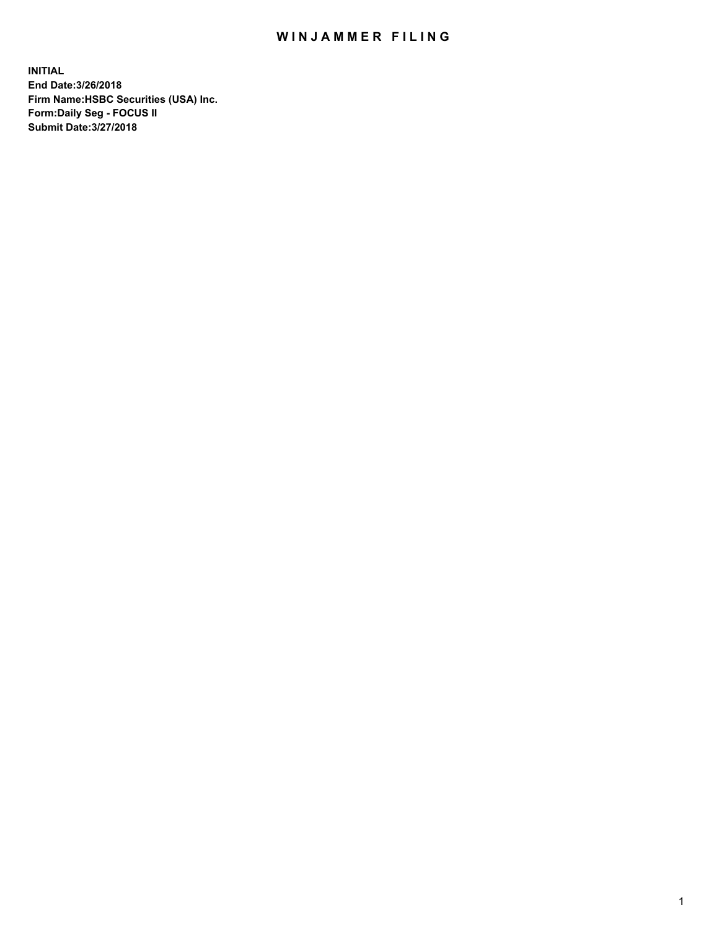## WIN JAMMER FILING

**INITIAL End Date:3/26/2018 Firm Name:HSBC Securities (USA) Inc. Form:Daily Seg - FOCUS II Submit Date:3/27/2018**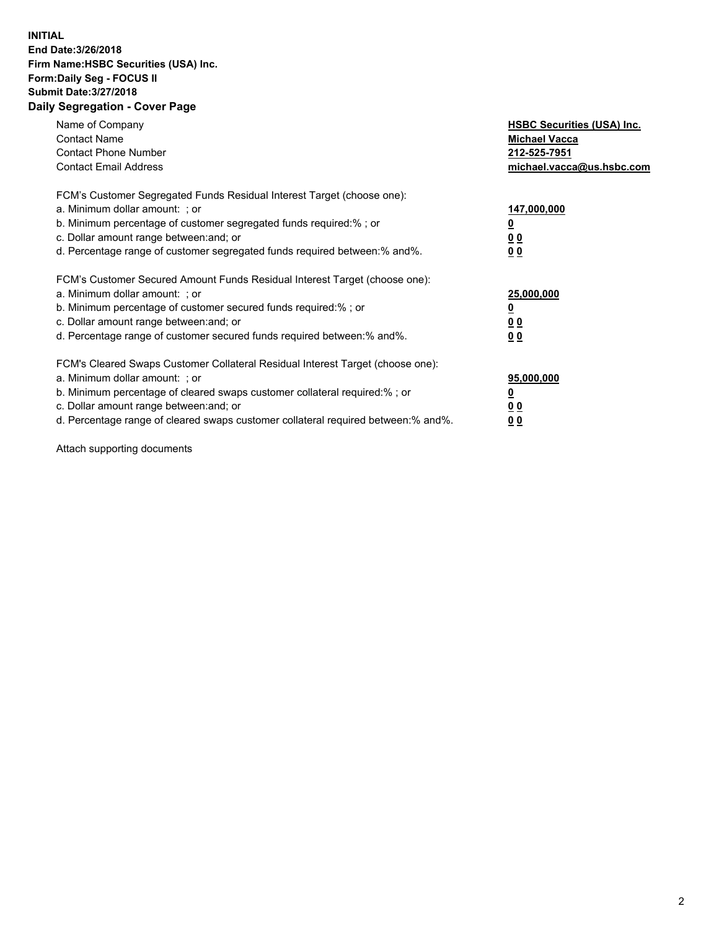## **INITIAL End Date:3/26/2018 Firm Name:HSBC Securities (USA) Inc. Form:Daily Seg - FOCUS II Submit Date:3/27/2018 Daily Segregation - Cover Page**

| Name of Company<br><b>Contact Name</b><br><b>Contact Phone Number</b><br><b>Contact Email Address</b>                                                                                                                                                                                                                         | <b>HSBC Securities (USA) Inc.</b><br><b>Michael Vacca</b><br>212-525-7951<br>michael.vacca@us.hsbc.com |
|-------------------------------------------------------------------------------------------------------------------------------------------------------------------------------------------------------------------------------------------------------------------------------------------------------------------------------|--------------------------------------------------------------------------------------------------------|
| FCM's Customer Segregated Funds Residual Interest Target (choose one):<br>a. Minimum dollar amount: ; or<br>b. Minimum percentage of customer segregated funds required:%; or<br>c. Dollar amount range between: and; or<br>d. Percentage range of customer segregated funds required between: % and %.                       | 147,000,000<br><u>0</u><br><u>00</u><br>00                                                             |
| FCM's Customer Secured Amount Funds Residual Interest Target (choose one):<br>a. Minimum dollar amount: ; or<br>b. Minimum percentage of customer secured funds required:%; or<br>c. Dollar amount range between: and; or<br>d. Percentage range of customer secured funds required between: % and %.                         | 25,000,000<br><u>0</u><br><u>00</u><br>00                                                              |
| FCM's Cleared Swaps Customer Collateral Residual Interest Target (choose one):<br>a. Minimum dollar amount: ; or<br>b. Minimum percentage of cleared swaps customer collateral required:%; or<br>c. Dollar amount range between: and; or<br>d. Percentage range of cleared swaps customer collateral required between:% and%. | 95,000,000<br><u>0</u><br><u>00</u><br><u>00</u>                                                       |

Attach supporting documents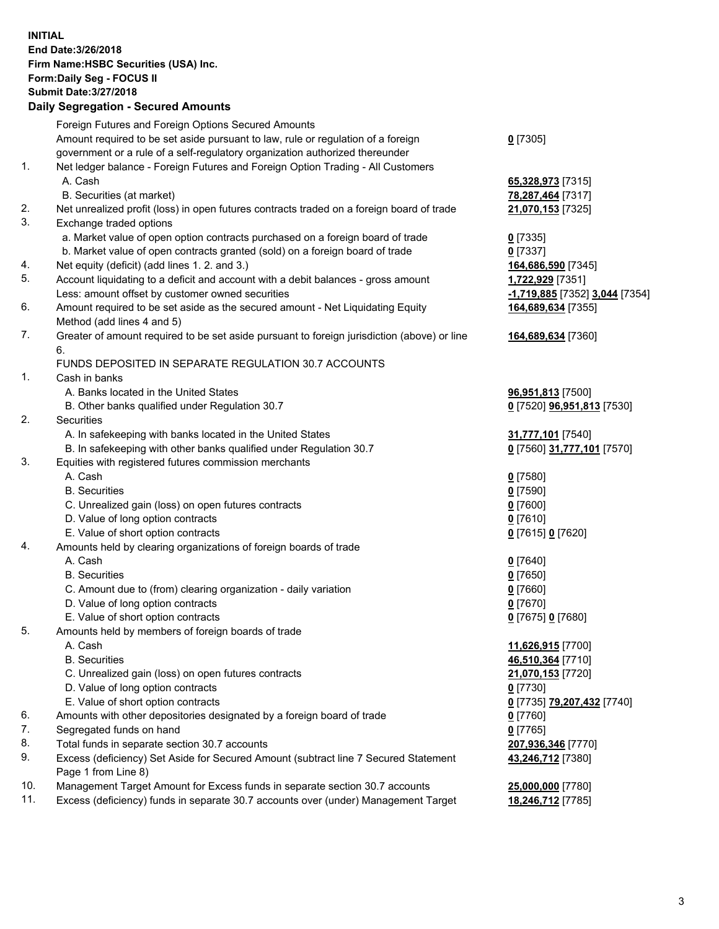**INITIAL End Date:3/26/2018 Firm Name:HSBC Securities (USA) Inc. Form:Daily Seg - FOCUS II Submit Date:3/27/2018 Daily Segregation - Secured Amounts** Foreign Futures and Foreign Options Secured Amounts Amount required to be set aside pursuant to law, rule or regulation of a foreign government or a rule of a self-regulatory organization authorized thereunder **0** [7305] 1. Net ledger balance - Foreign Futures and Foreign Option Trading - All Customers A. Cash **65,328,973** [7315] B. Securities (at market) **78,287,464** [7317] 2. Net unrealized profit (loss) in open futures contracts traded on a foreign board of trade **21,070,153** [7325] 3. Exchange traded options a. Market value of open option contracts purchased on a foreign board of trade **0** [7335] b. Market value of open contracts granted (sold) on a foreign board of trade **0** [7337] 4. Net equity (deficit) (add lines 1. 2. and 3.) **164,686,590** [7345] 5. Account liquidating to a deficit and account with a debit balances - gross amount **1,722,929** [7351] Less: amount offset by customer owned securities **-1,719,885** [7352] **3,044** [7354] 6. Amount required to be set aside as the secured amount - Net Liquidating Equity Method (add lines 4 and 5) **164,689,634** [7355] 7. Greater of amount required to be set aside pursuant to foreign jurisdiction (above) or line 6. **164,689,634** [7360] FUNDS DEPOSITED IN SEPARATE REGULATION 30.7 ACCOUNTS 1. Cash in banks A. Banks located in the United States **96,951,813** [7500] B. Other banks qualified under Regulation 30.7 **0** [7520] **96,951,813** [7530] 2. Securities A. In safekeeping with banks located in the United States **31,777,101** [7540] B. In safekeeping with other banks qualified under Regulation 30.7 **0** [7560] **31,777,101** [7570] 3. Equities with registered futures commission merchants A. Cash **0** [7580] B. Securities **0** [7590] C. Unrealized gain (loss) on open futures contracts **0** [7600] D. Value of long option contracts **0** [7610] E. Value of short option contracts **0** [7615] **0** [7620] 4. Amounts held by clearing organizations of foreign boards of trade A. Cash **0** [7640] B. Securities **0** [7650] C. Amount due to (from) clearing organization - daily variation **0** [7660] D. Value of long option contracts **0** [7670] E. Value of short option contracts **0** [7675] **0** [7680] 5. Amounts held by members of foreign boards of trade A. Cash **11,626,915** [7700] B. Securities **46,510,364** [7710] C. Unrealized gain (loss) on open futures contracts **21,070,153** [7720] D. Value of long option contracts **0** [7730] E. Value of short option contracts **0** [7735] **79,207,432** [7740] 6. Amounts with other depositories designated by a foreign board of trade **0** [7760] 7. Segregated funds on hand **0** [7765] 8. Total funds in separate section 30.7 accounts **207,936,346** [7770]

9. Excess (deficiency) Set Aside for Secured Amount (subtract line 7 Secured Statement Page 1 from Line 8)

10. Management Target Amount for Excess funds in separate section 30.7 accounts **25,000,000** [7780]

11. Excess (deficiency) funds in separate 30.7 accounts over (under) Management Target **18,246,712** [7785]

**43,246,712** [7380]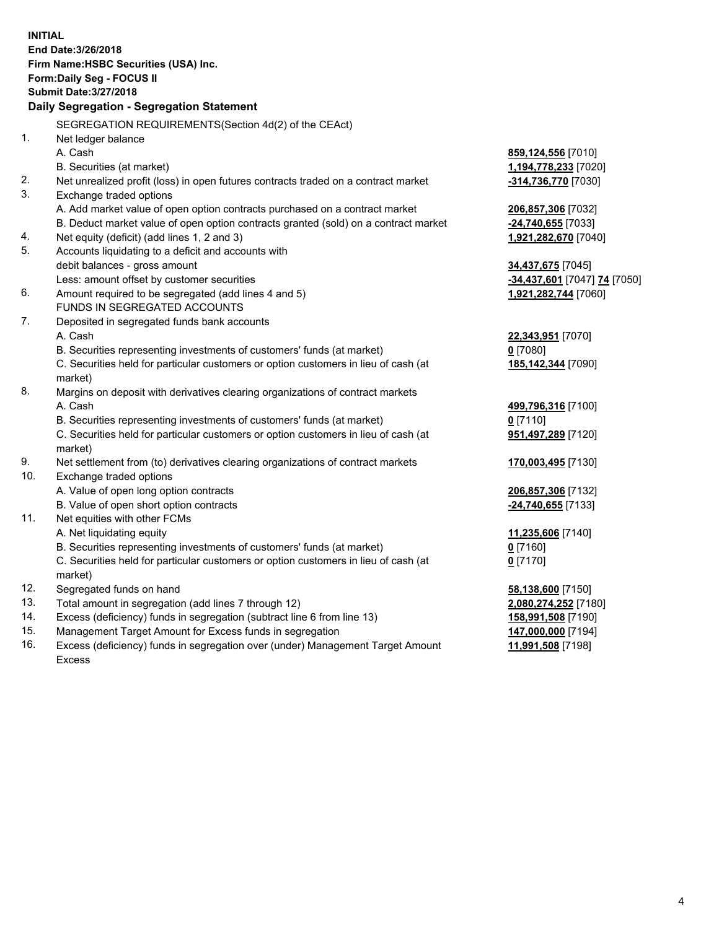**INITIAL End Date:3/26/2018 Firm Name:HSBC Securities (USA) Inc. Form:Daily Seg - FOCUS II Submit Date:3/27/2018 Daily Segregation - Segregation Statement** SEGREGATION REQUIREMENTS(Section 4d(2) of the CEAct) 1. Net ledger balance A. Cash **859,124,556** [7010] B. Securities (at market) **1,194,778,233** [7020] 2. Net unrealized profit (loss) in open futures contracts traded on a contract market **-314,736,770** [7030] 3. Exchange traded options A. Add market value of open option contracts purchased on a contract market **206,857,306** [7032] B. Deduct market value of open option contracts granted (sold) on a contract market **-24,740,655** [7033] 4. Net equity (deficit) (add lines 1, 2 and 3) **1,921,282,670** [7040] 5. Accounts liquidating to a deficit and accounts with debit balances - gross amount **34,437,675** [7045] Less: amount offset by customer securities **-34,437,601** [7047] **74** [7050] 6. Amount required to be segregated (add lines 4 and 5) **1,921,282,744** [7060] FUNDS IN SEGREGATED ACCOUNTS 7. Deposited in segregated funds bank accounts A. Cash **22,343,951** [7070] B. Securities representing investments of customers' funds (at market) **0** [7080] C. Securities held for particular customers or option customers in lieu of cash (at market) **185,142,344** [7090] 8. Margins on deposit with derivatives clearing organizations of contract markets A. Cash **499,796,316** [7100] B. Securities representing investments of customers' funds (at market) **0** [7110] C. Securities held for particular customers or option customers in lieu of cash (at market) **951,497,289** [7120] 9. Net settlement from (to) derivatives clearing organizations of contract markets **170,003,495** [7130] 10. Exchange traded options A. Value of open long option contracts **206,857,306** [7132] B. Value of open short option contracts **-24,740,655** [7133] 11. Net equities with other FCMs A. Net liquidating equity **11,235,606** [7140] B. Securities representing investments of customers' funds (at market) **0** [7160] C. Securities held for particular customers or option customers in lieu of cash (at market) **0** [7170] 12. Segregated funds on hand **58,138,600** [7150] 13. Total amount in segregation (add lines 7 through 12) **2,080,274,252** [7180] 14. Excess (deficiency) funds in segregation (subtract line 6 from line 13) **158,991,508** [7190] 15. Management Target Amount for Excess funds in segregation **147,000,000** [7194] **11,991,508** [7198]

16. Excess (deficiency) funds in segregation over (under) Management Target Amount Excess